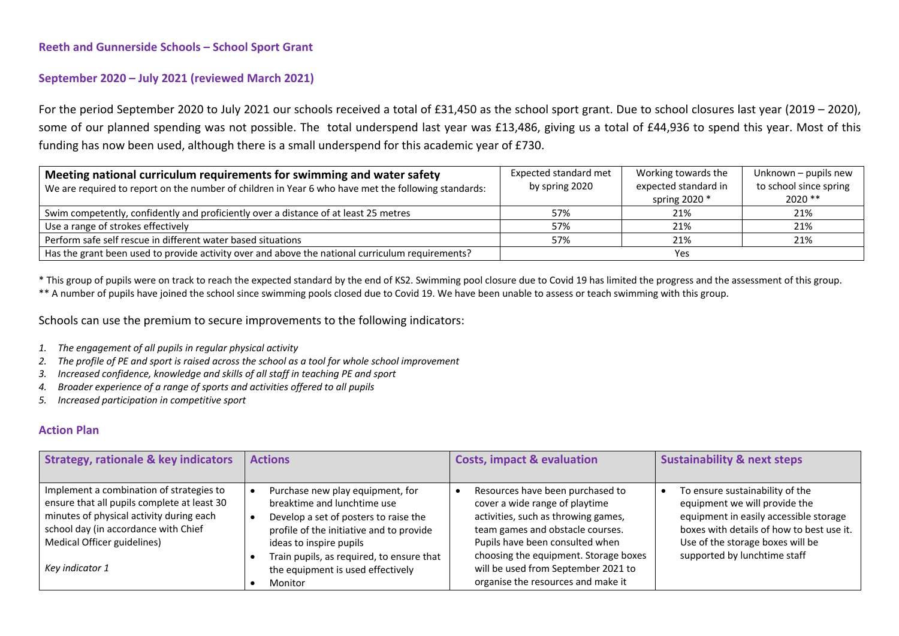## **Reeth and Gunnerside Schools – School Sport Grant**

## **September 2020 – July 2021 (reviewed March 2021)**

For the period September 2020 to July 2021 our schools received a total of £31,450 as the school sport grant. Due to school closures last year (2019 – 2020), some of our planned spending was not possible. The total underspend last year was £13,486, giving us a total of £44,936 to spend this year. Most of this funding has now been used, although there is a small underspend for this academic year of £730.

| Meeting national curriculum requirements for swimming and water safety                              | Expected standard met | Working towards the  | Unknown - pupils new   |
|-----------------------------------------------------------------------------------------------------|-----------------------|----------------------|------------------------|
| We are required to report on the number of children in Year 6 who have met the following standards: | by spring 2020        | expected standard in | to school since spring |
|                                                                                                     |                       | spring 2020 $*$      | $2020**$               |
| Swim competently, confidently and proficiently over a distance of at least 25 metres                | 57%                   | 21%                  | 21%                    |
| Use a range of strokes effectively                                                                  | 57%                   | 21%                  | 21%                    |
| Perform safe self rescue in different water based situations                                        | 57%                   | 21%                  | 21%                    |
| Has the grant been used to provide activity over and above the national curriculum requirements?    |                       | Yes                  |                        |

\* This group of pupils were on track to reach the expected standard by the end of KS2. Swimming pool closure due to Covid 19 has limited the progress and the assessment of this group.

\*\* A number of pupils have joined the school since swimming pools closed due to Covid 19. We have been unable to assess or teach swimming with this group.

Schools can use the premium to secure improvements to the following indicators:

- *1. The engagement of all pupils in regular physical activity*
- *2. The profile of PE and sport is raised across the school as a tool for whole school improvement*
- *3. Increased confidence, knowledge and skills of all staff in teaching PE and sport*
- *4. Broader experience of a range of sports and activities offered to all pupils*
- *5. Increased participation in competitive sport*

## **Action Plan**

| <b>Strategy, rationale &amp; key indicators</b>                                                                                                                                                                               | <b>Actions</b>                                                                                                                                                                                                                                                               | <b>Costs, impact &amp; evaluation</b>                                                                                                                                                                                                                                                                  | <b>Sustainability &amp; next steps</b>                                                                                                                                                                                      |
|-------------------------------------------------------------------------------------------------------------------------------------------------------------------------------------------------------------------------------|------------------------------------------------------------------------------------------------------------------------------------------------------------------------------------------------------------------------------------------------------------------------------|--------------------------------------------------------------------------------------------------------------------------------------------------------------------------------------------------------------------------------------------------------------------------------------------------------|-----------------------------------------------------------------------------------------------------------------------------------------------------------------------------------------------------------------------------|
| Implement a combination of strategies to<br>ensure that all pupils complete at least 30<br>minutes of physical activity during each<br>school day (in accordance with Chief<br>Medical Officer guidelines)<br>Key indicator 1 | Purchase new play equipment, for<br>breaktime and lunchtime use<br>Develop a set of posters to raise the<br>profile of the initiative and to provide<br>ideas to inspire pupils<br>Train pupils, as required, to ensure that<br>the equipment is used effectively<br>Monitor | Resources have been purchased to<br>cover a wide range of playtime<br>activities, such as throwing games,<br>team games and obstacle courses.<br>Pupils have been consulted when<br>choosing the equipment. Storage boxes<br>will be used from September 2021 to<br>organise the resources and make it | To ensure sustainability of the<br>equipment we will provide the<br>equipment in easily accessible storage<br>boxes with details of how to best use it.<br>Use of the storage boxes will be<br>supported by lunchtime staff |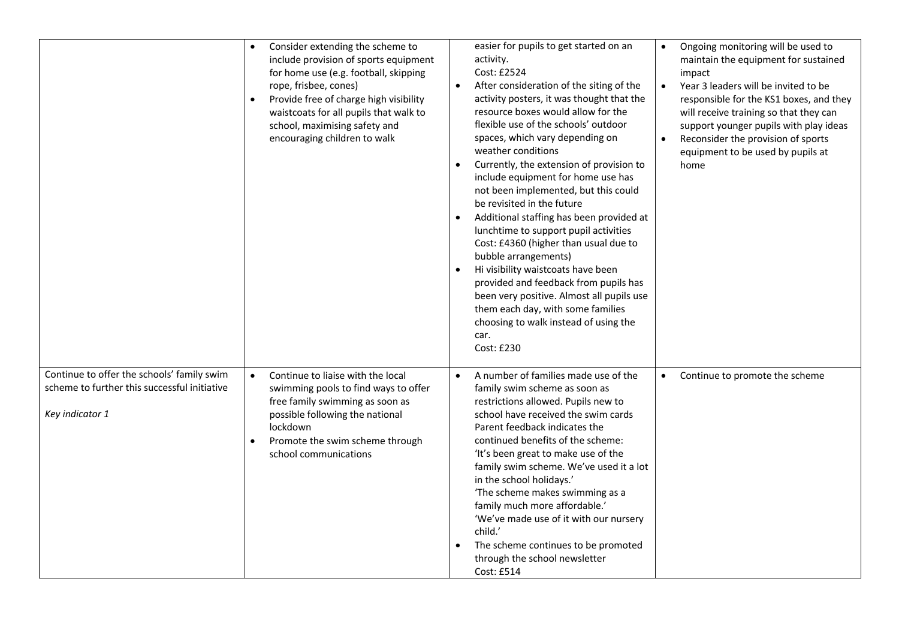|                                                                                                               | Consider extending the scheme to<br>include provision of sports equipment<br>for home use (e.g. football, skipping<br>rope, frisbee, cones)<br>Provide free of charge high visibility<br>waistcoats for all pupils that walk to<br>school, maximising safety and<br>encouraging children to walk | easier for pupils to get started on an<br>activity.<br>Cost: £2524<br>After consideration of the siting of the<br>activity posters, it was thought that the<br>resource boxes would allow for the<br>flexible use of the schools' outdoor<br>spaces, which vary depending on<br>weather conditions<br>Currently, the extension of provision to<br>include equipment for home use has<br>not been implemented, but this could<br>be revisited in the future<br>Additional staffing has been provided at<br>lunchtime to support pupil activities<br>Cost: £4360 (higher than usual due to<br>bubble arrangements)<br>Hi visibility waistcoats have been<br>provided and feedback from pupils has<br>been very positive. Almost all pupils use<br>them each day, with some families<br>choosing to walk instead of using the<br>car.<br>Cost: £230 | Ongoing monitoring will be used to<br>$\bullet$<br>maintain the equipment for sustained<br>impact<br>Year 3 leaders will be invited to be<br>$\bullet$<br>responsible for the KS1 boxes, and they<br>will receive training so that they can<br>support younger pupils with play ideas<br>Reconsider the provision of sports<br>$\bullet$<br>equipment to be used by pupils at<br>home |
|---------------------------------------------------------------------------------------------------------------|--------------------------------------------------------------------------------------------------------------------------------------------------------------------------------------------------------------------------------------------------------------------------------------------------|--------------------------------------------------------------------------------------------------------------------------------------------------------------------------------------------------------------------------------------------------------------------------------------------------------------------------------------------------------------------------------------------------------------------------------------------------------------------------------------------------------------------------------------------------------------------------------------------------------------------------------------------------------------------------------------------------------------------------------------------------------------------------------------------------------------------------------------------------|---------------------------------------------------------------------------------------------------------------------------------------------------------------------------------------------------------------------------------------------------------------------------------------------------------------------------------------------------------------------------------------|
| Continue to offer the schools' family swim<br>scheme to further this successful initiative<br>Key indicator 1 | Continue to liaise with the local<br>swimming pools to find ways to offer<br>free family swimming as soon as<br>possible following the national<br>lockdown<br>Promote the swim scheme through<br>school communications                                                                          | A number of families made use of the<br>$\bullet$<br>family swim scheme as soon as<br>restrictions allowed. Pupils new to<br>school have received the swim cards<br>Parent feedback indicates the<br>continued benefits of the scheme:<br>'It's been great to make use of the<br>family swim scheme. We've used it a lot<br>in the school holidays.'<br>'The scheme makes swimming as a<br>family much more affordable.'<br>'We've made use of it with our nursery<br>child.'<br>The scheme continues to be promoted<br>through the school newsletter<br>Cost: £514                                                                                                                                                                                                                                                                              | Continue to promote the scheme<br>$\bullet$                                                                                                                                                                                                                                                                                                                                           |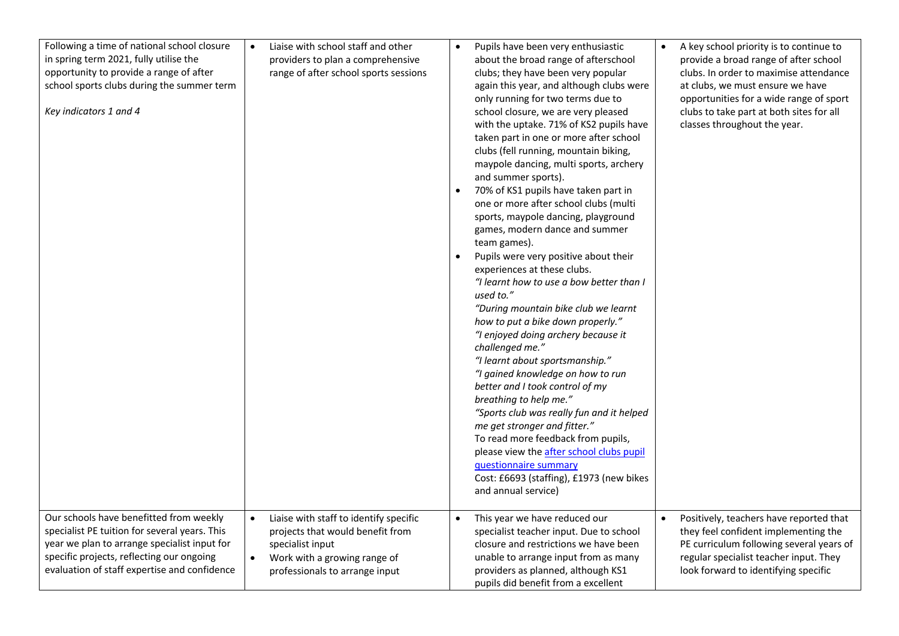| Following a time of national school closure<br>in spring term 2021, fully utilise the<br>opportunity to provide a range of after<br>school sports clubs during the summer term<br>Key indicators 1 and 4                              | Liaise with school staff and other<br>$\bullet$<br>providers to plan a comprehensive<br>range of after school sports sessions                                                 | Pupils have been very enthusiastic<br>$\bullet$<br>about the broad range of afterschool<br>clubs; they have been very popular<br>again this year, and although clubs were<br>only running for two terms due to<br>school closure, we are very pleased<br>with the uptake. 71% of KS2 pupils have<br>taken part in one or more after school<br>clubs (fell running, mountain biking,<br>maypole dancing, multi sports, archery<br>and summer sports).<br>70% of KS1 pupils have taken part in<br>one or more after school clubs (multi<br>sports, maypole dancing, playground<br>games, modern dance and summer<br>team games).<br>Pupils were very positive about their<br>experiences at these clubs.<br>"I learnt how to use a bow better than I<br>used to."<br>"During mountain bike club we learnt<br>how to put a bike down properly."<br>"I enjoyed doing archery because it<br>challenged me."<br>"I learnt about sportsmanship."<br>"I gained knowledge on how to run<br>better and I took control of my<br>breathing to help me."<br>"Sports club was really fun and it helped<br>me get stronger and fitter."<br>To read more feedback from pupils,<br>please view the after school clubs pupil<br>questionnaire summary<br>Cost: £6693 (staffing), £1973 (new bikes<br>and annual service) | A key school priority is to continue to<br>$\bullet$<br>provide a broad range of after school<br>clubs. In order to maximise attendance<br>at clubs, we must ensure we have<br>opportunities for a wide range of sport<br>clubs to take part at both sites for all<br>classes throughout the year. |
|---------------------------------------------------------------------------------------------------------------------------------------------------------------------------------------------------------------------------------------|-------------------------------------------------------------------------------------------------------------------------------------------------------------------------------|--------------------------------------------------------------------------------------------------------------------------------------------------------------------------------------------------------------------------------------------------------------------------------------------------------------------------------------------------------------------------------------------------------------------------------------------------------------------------------------------------------------------------------------------------------------------------------------------------------------------------------------------------------------------------------------------------------------------------------------------------------------------------------------------------------------------------------------------------------------------------------------------------------------------------------------------------------------------------------------------------------------------------------------------------------------------------------------------------------------------------------------------------------------------------------------------------------------------------------------------------------------------------------------------------------|----------------------------------------------------------------------------------------------------------------------------------------------------------------------------------------------------------------------------------------------------------------------------------------------------|
| Our schools have benefitted from weekly<br>specialist PE tuition for several years. This<br>year we plan to arrange specialist input for<br>specific projects, reflecting our ongoing<br>evaluation of staff expertise and confidence | Liaise with staff to identify specific<br>$\bullet$<br>projects that would benefit from<br>specialist input<br>Work with a growing range of<br>professionals to arrange input | This year we have reduced our<br>specialist teacher input. Due to school<br>closure and restrictions we have been<br>unable to arrange input from as many<br>providers as planned, although KS1<br>pupils did benefit from a excellent                                                                                                                                                                                                                                                                                                                                                                                                                                                                                                                                                                                                                                                                                                                                                                                                                                                                                                                                                                                                                                                                 | Positively, teachers have reported that<br>$\bullet$<br>they feel confident implementing the<br>PE curriculum following several years of<br>regular specialist teacher input. They<br>look forward to identifying specific                                                                         |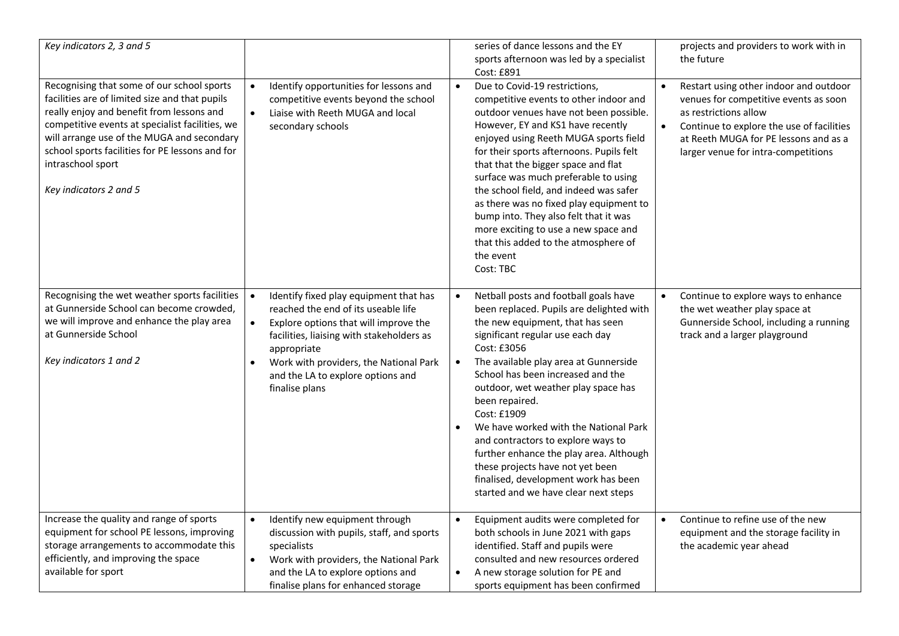| Key indicators 2, 3 and 5                                                                                                                                                                                                                                                                                                                    |                                                                                                                                                                                                                                                                                                               | series of dance lessons and the EY<br>sports afternoon was led by a specialist<br>Cost: £891                                                                                                                                                                                                                                                                                                                                                                                                                                                                                                                        | projects and providers to work with in<br>the future                                                                                                                                                                                               |
|----------------------------------------------------------------------------------------------------------------------------------------------------------------------------------------------------------------------------------------------------------------------------------------------------------------------------------------------|---------------------------------------------------------------------------------------------------------------------------------------------------------------------------------------------------------------------------------------------------------------------------------------------------------------|---------------------------------------------------------------------------------------------------------------------------------------------------------------------------------------------------------------------------------------------------------------------------------------------------------------------------------------------------------------------------------------------------------------------------------------------------------------------------------------------------------------------------------------------------------------------------------------------------------------------|----------------------------------------------------------------------------------------------------------------------------------------------------------------------------------------------------------------------------------------------------|
| Recognising that some of our school sports<br>facilities are of limited size and that pupils<br>really enjoy and benefit from lessons and<br>competitive events at specialist facilities, we<br>will arrange use of the MUGA and secondary<br>school sports facilities for PE lessons and for<br>intraschool sport<br>Key indicators 2 and 5 | $\bullet$<br>Identify opportunities for lessons and<br>competitive events beyond the school<br>$\bullet$<br>Liaise with Reeth MUGA and local<br>secondary schools                                                                                                                                             | $\bullet$<br>Due to Covid-19 restrictions,<br>competitive events to other indoor and<br>outdoor venues have not been possible.<br>However, EY and KS1 have recently<br>enjoyed using Reeth MUGA sports field<br>for their sports afternoons. Pupils felt<br>that that the bigger space and flat<br>surface was much preferable to using<br>the school field, and indeed was safer<br>as there was no fixed play equipment to<br>bump into. They also felt that it was<br>more exciting to use a new space and<br>that this added to the atmosphere of<br>the event<br>Cost: TBC                                     | Restart using other indoor and outdoor<br>$\bullet$<br>venues for competitive events as soon<br>as restrictions allow<br>Continue to explore the use of facilities<br>at Reeth MUGA for PE lessons and as a<br>larger venue for intra-competitions |
| Recognising the wet weather sports facilities<br>at Gunnerside School can become crowded,<br>we will improve and enhance the play area<br>at Gunnerside School<br>Key indicators 1 and 2                                                                                                                                                     | Identify fixed play equipment that has<br>reached the end of its useable life<br>Explore options that will improve the<br>$\bullet$<br>facilities, liaising with stakeholders as<br>appropriate<br>Work with providers, the National Park<br>$\bullet$<br>and the LA to explore options and<br>finalise plans | Netball posts and football goals have<br>$\bullet$<br>been replaced. Pupils are delighted with<br>the new equipment, that has seen<br>significant regular use each day<br>Cost: £3056<br>The available play area at Gunnerside<br>$\bullet$<br>School has been increased and the<br>outdoor, wet weather play space has<br>been repaired.<br>Cost: £1909<br>We have worked with the National Park<br>$\bullet$<br>and contractors to explore ways to<br>further enhance the play area. Although<br>these projects have not yet been<br>finalised, development work has been<br>started and we have clear next steps | Continue to explore ways to enhance<br>the wet weather play space at<br>Gunnerside School, including a running<br>track and a larger playground                                                                                                    |
| Increase the quality and range of sports<br>equipment for school PE lessons, improving<br>storage arrangements to accommodate this<br>efficiently, and improving the space<br>available for sport                                                                                                                                            | Identify new equipment through<br>$\bullet$<br>discussion with pupils, staff, and sports<br>specialists<br>Work with providers, the National Park<br>$\bullet$<br>and the LA to explore options and<br>finalise plans for enhanced storage                                                                    | Equipment audits were completed for<br>$\bullet$<br>both schools in June 2021 with gaps<br>identified. Staff and pupils were<br>consulted and new resources ordered<br>A new storage solution for PE and<br>$\bullet$<br>sports equipment has been confirmed                                                                                                                                                                                                                                                                                                                                                        | Continue to refine use of the new<br>equipment and the storage facility in<br>the academic year ahead                                                                                                                                              |